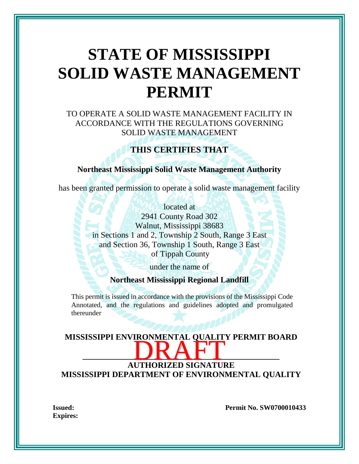# **STATE OF MISSISSIPPI SOLID WASTE MANAGEMENT PERMIT**

TO OPERATE A SOLID WASTE MANAGEMENT FACILITY IN ACCORDANCE WITH THE REGULATIONS GOVERNING SOLID WASTE MANAGEMENT

### **THIS CERTIFIES THAT**

#### **Northeast Mississippi Solid Waste Management Authority**

has been granted permission to operate a solid waste management facility

located at 2941 County Road 302 Walnut, Mississippi 38683 in Sections 1 and 2, Township 2 South, Range 3 East and Section 36, Township 1 South, Range 3 East of Tippah County

under the name of

**Northeast Mississippi Regional Landfill**

This permit is issued in accordance with the provisions of the Mississippi Code Annotated, and the regulations and guidelines adopted and promulgated thereunder

## **MISSISSIPPI ENVIRONMENTAL QUALITY PERMIT BOARD \_\_\_\_\_\_\_\_\_\_\_\_\_\_\_\_\_\_\_\_\_\_\_\_\_\_\_\_\_\_\_\_\_\_\_\_\_\_\_\_\_\_\_\_\_\_\_\_ AUTHORIZED SIGNATURE MISSISSIPPI DEPARTMENT OF ENVIRONMENTAL QUALITY**

**Expires:**

**Issued: Permit No. SW0700010433**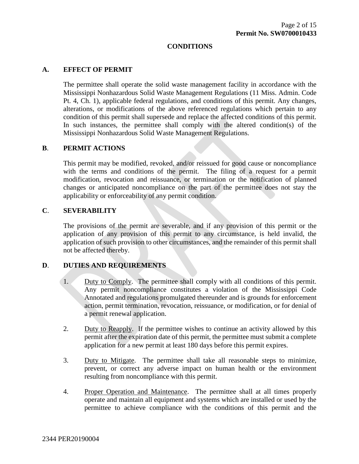#### **CONDITIONS**

#### **A. EFFECT OF PERMIT**

The permittee shall operate the solid waste management facility in accordance with the Mississippi Nonhazardous Solid Waste Management Regulations (11 Miss. Admin. Code Pt. 4, Ch. 1), applicable federal regulations, and conditions of this permit. Any changes, alterations, or modifications of the above referenced regulations which pertain to any condition of this permit shall supersede and replace the affected conditions of this permit. In such instances, the permittee shall comply with the altered condition(s) of the Mississippi Nonhazardous Solid Waste Management Regulations.

#### **B**. **PERMIT ACTIONS**

This permit may be modified, revoked, and/or reissued for good cause or noncompliance with the terms and conditions of the permit. The filing of a request for a permit modification, revocation and reissuance, or termination or the notification of planned changes or anticipated noncompliance on the part of the permittee does not stay the applicability or enforceability of any permit condition.

#### **C**. **SEVERABILITY**

The provisions of the permit are severable, and if any provision of this permit or the application of any provision of this permit to any circumstance, is held invalid, the application of such provision to other circumstances, and the remainder of this permit shall not be affected thereby.

#### **D**. **DUTIES AND REQUIREMENTS**

- 1. Duty to Comply. The permittee shall comply with all conditions of this permit. Any permit noncompliance constitutes a violation of the Mississippi Code Annotated and regulations promulgated thereunder and is grounds for enforcement action, permit termination, revocation, reissuance, or modification, or for denial of a permit renewal application.
- 2. Duty to Reapply. If the permittee wishes to continue an activity allowed by this permit after the expiration date of this permit, the permittee must submit a complete application for a new permit at least 180 days before this permit expires.
- 3. Duty to Mitigate. The permittee shall take all reasonable steps to minimize, prevent, or correct any adverse impact on human health or the environment resulting from noncompliance with this permit.
- 4. Proper Operation and Maintenance. The permittee shall at all times properly operate and maintain all equipment and systems which are installed or used by the permittee to achieve compliance with the conditions of this permit and the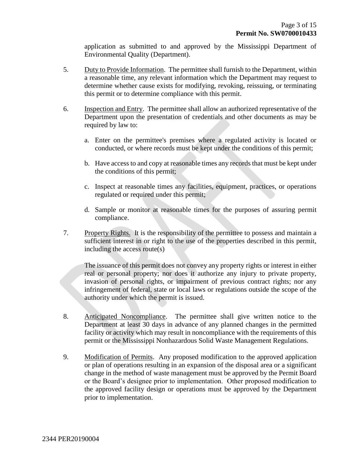application as submitted to and approved by the Mississippi Department of Environmental Quality (Department).

- 5. Duty to Provide Information. The permittee shall furnish to the Department, within a reasonable time, any relevant information which the Department may request to determine whether cause exists for modifying, revoking, reissuing, or terminating this permit or to determine compliance with this permit.
- 6. Inspection and Entry. The permittee shall allow an authorized representative of the Department upon the presentation of credentials and other documents as may be required by law to:
	- a. Enter on the permittee's premises where a regulated activity is located or conducted, or where records must be kept under the conditions of this permit;
	- b. Have access to and copy at reasonable times any records that must be kept under the conditions of this permit;
	- c. Inspect at reasonable times any facilities, equipment, practices, or operations regulated or required under this permit;
	- d. Sample or monitor at reasonable times for the purposes of assuring permit compliance.
- 7. Property Rights. It is the responsibility of the permittee to possess and maintain a sufficient interest in or right to the use of the properties described in this permit, including the access route(s)

The issuance of this permit does not convey any property rights or interest in either real or personal property; nor does it authorize any injury to private property, invasion of personal rights, or impairment of previous contract rights; nor any infringement of federal, state or local laws or regulations outside the scope of the authority under which the permit is issued.

- 8. Anticipated Noncompliance. The permittee shall give written notice to the Department at least 30 days in advance of any planned changes in the permitted facility or activity which may result in noncompliance with the requirements of this permit or the Mississippi Nonhazardous Solid Waste Management Regulations.
- 9. Modification of Permits. Any proposed modification to the approved application or plan of operations resulting in an expansion of the disposal area or a significant change in the method of waste management must be approved by the Permit Board or the Board's designee prior to implementation. Other proposed modification to the approved facility design or operations must be approved by the Department prior to implementation.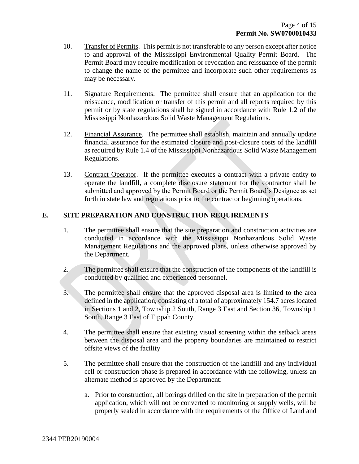- 10. Transfer of Permits. This permit is not transferable to any person except after notice to and approval of the Mississippi Environmental Quality Permit Board. The Permit Board may require modification or revocation and reissuance of the permit to change the name of the permittee and incorporate such other requirements as may be necessary.
- 11. Signature Requirements. The permittee shall ensure that an application for the reissuance, modification or transfer of this permit and all reports required by this permit or by state regulations shall be signed in accordance with Rule 1.2 of the Mississippi Nonhazardous Solid Waste Management Regulations.
- 12. Financial Assurance. The permittee shall establish, maintain and annually update financial assurance for the estimated closure and post-closure costs of the landfill as required by Rule 1.4 of the Mississippi Nonhazardous Solid Waste Management Regulations.
- 13. Contract Operator. If the permittee executes a contract with a private entity to operate the landfill, a complete disclosure statement for the contractor shall be submitted and approved by the Permit Board or the Permit Board's Designee as set forth in state law and regulations prior to the contractor beginning operations.

#### **E. SITE PREPARATION AND CONSTRUCTION REQUIREMENTS**

- 1. The permittee shall ensure that the site preparation and construction activities are conducted in accordance with the Mississippi Nonhazardous Solid Waste Management Regulations and the approved plans, unless otherwise approved by the Department.
- 2. The permittee shall ensure that the construction of the components of the landfill is conducted by qualified and experienced personnel.
- 3. The permittee shall ensure that the approved disposal area is limited to the area defined in the application, consisting of a total of approximately 154.7 acres located in Sections 1 and 2, Township 2 South, Range 3 East and Section 36, Township 1 South, Range 3 East of Tippah County.
- 4. The permittee shall ensure that existing visual screening within the setback areas between the disposal area and the property boundaries are maintained to restrict offsite views of the facility
- 5. The permittee shall ensure that the construction of the landfill and any individual cell or construction phase is prepared in accordance with the following, unless an alternate method is approved by the Department:
	- a. Prior to construction, all borings drilled on the site in preparation of the permit application, which will not be converted to monitoring or supply wells, will be properly sealed in accordance with the requirements of the Office of Land and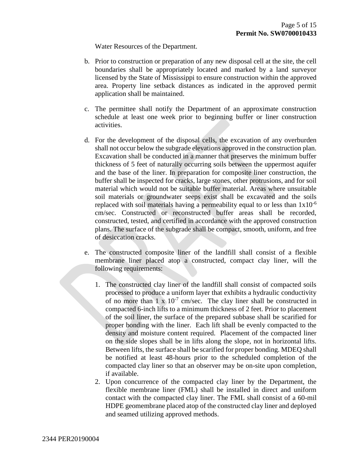Water Resources of the Department.

- b. Prior to construction or preparation of any new disposal cell at the site, the cell boundaries shall be appropriately located and marked by a land surveyor licensed by the State of Mississippi to ensure construction within the approved area. Property line setback distances as indicated in the approved permit application shall be maintained.
- c. The permittee shall notify the Department of an approximate construction schedule at least one week prior to beginning buffer or liner construction activities.
- d. For the development of the disposal cells, the excavation of any overburden shall not occur below the subgrade elevations approved in the construction plan. Excavation shall be conducted in a manner that preserves the minimum buffer thickness of 5 feet of naturally occurring soils between the uppermost aquifer and the base of the liner. In preparation for composite liner construction, the buffer shall be inspected for cracks, large stones, other protrusions, and for soil material which would not be suitable buffer material. Areas where unsuitable soil materials or groundwater seeps exist shall be excavated and the soils replaced with soil materials having a permeability equal to or less than  $1x10^{-6}$ cm/sec. Constructed or reconstructed buffer areas shall be recorded, constructed, tested, and certified in accordance with the approved construction plans. The surface of the subgrade shall be compact, smooth, uniform, and free of desiccation cracks.
- e. The constructed composite liner of the landfill shall consist of a flexible membrane liner placed atop a constructed, compact clay liner, will the following requirements:
	- 1. The constructed clay liner of the landfill shall consist of compacted soils processed to produce a uniform layer that exhibits a hydraulic conductivity of no more than  $1 \times 10^{-7}$  cm/sec. The clay liner shall be constructed in compacted 6-inch lifts to a minimum thickness of 2 feet. Prior to placement of the soil liner, the surface of the prepared subbase shall be scarified for proper bonding with the liner. Each lift shall be evenly compacted to the density and moisture content required. Placement of the compacted liner on the side slopes shall be in lifts along the slope, not in horizontal lifts. Between lifts, the surface shall be scarified for proper bonding. MDEQ shall be notified at least 48-hours prior to the scheduled completion of the compacted clay liner so that an observer may be on-site upon completion, if available.
	- 2. Upon concurrence of the compacted clay liner by the Department, the flexible membrane liner (FML) shall be installed in direct and uniform contact with the compacted clay liner. The FML shall consist of a 60-mil HDPE geomembrane placed atop of the constructed clay liner and deployed and seamed utilizing approved methods.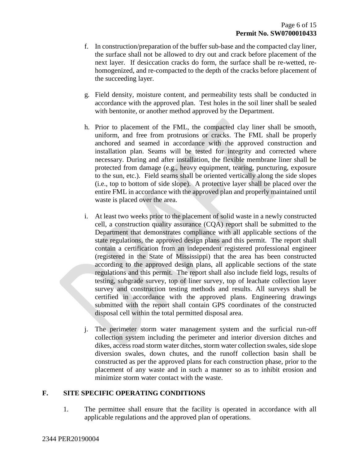- f. In construction/preparation of the buffer sub-base and the compacted clay liner, the surface shall not be allowed to dry out and crack before placement of the next layer. If desiccation cracks do form, the surface shall be re-wetted, rehomogenized, and re-compacted to the depth of the cracks before placement of the succeeding layer.
- g. Field density, moisture content, and permeability tests shall be conducted in accordance with the approved plan. Test holes in the soil liner shall be sealed with bentonite, or another method approved by the Department.
- h. Prior to placement of the FML, the compacted clay liner shall be smooth, uniform, and free from protrusions or cracks. The FML shall be properly anchored and seamed in accordance with the approved construction and installation plan. Seams will be tested for integrity and corrected where necessary. During and after installation, the flexible membrane liner shall be protected from damage (e.g., heavy equipment, tearing, puncturing, exposure to the sun, etc.). Field seams shall be oriented vertically along the side slopes (i.e., top to bottom of side slope). A protective layer shall be placed over the entire FML in accordance with the approved plan and properly maintained until waste is placed over the area.
- i. At least two weeks prior to the placement of solid waste in a newly constructed cell, a construction quality assurance (CQA) report shall be submitted to the Department that demonstrates compliance with all applicable sections of the state regulations, the approved design plans and this permit. The report shall contain a certification from an independent registered professional engineer (registered in the State of Mississippi) that the area has been constructed according to the approved design plans, all applicable sections of the state regulations and this permit. The report shall also include field logs, results of testing, subgrade survey, top of liner survey, top of leachate collection layer survey and construction testing methods and results. All surveys shall be certified in accordance with the approved plans. Engineering drawings submitted with the report shall contain GPS coordinates of the constructed disposal cell within the total permitted disposal area.
- j. The perimeter storm water management system and the surficial run-off collection system including the perimeter and interior diversion ditches and dikes, access road storm water ditches, storm water collection swales, side slope diversion swales, down chutes, and the runoff collection basin shall be constructed as per the approved plans for each construction phase, prior to the placement of any waste and in such a manner so as to inhibit erosion and minimize storm water contact with the waste.

#### **F. SITE SPECIFIC OPERATING CONDITIONS**

1. The permittee shall ensure that the facility is operated in accordance with all applicable regulations and the approved plan of operations.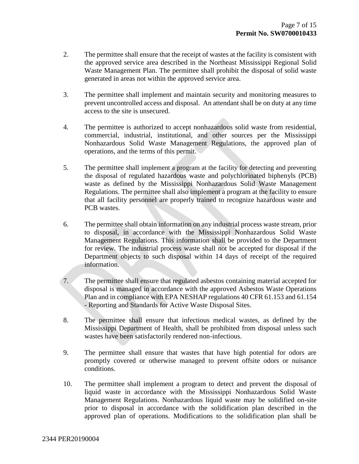- 2. The permittee shall ensure that the receipt of wastes at the facility is consistent with the approved service area described in the Northeast Mississippi Regional Solid Waste Management Plan. The permittee shall prohibit the disposal of solid waste generated in areas not within the approved service area.
- 3. The permittee shall implement and maintain security and monitoring measures to prevent uncontrolled access and disposal. An attendant shall be on duty at any time access to the site is unsecured.
- 4. The permittee is authorized to accept nonhazardous solid waste from residential, commercial, industrial, institutional, and other sources per the Mississippi Nonhazardous Solid Waste Management Regulations, the approved plan of operations, and the terms of this permit.
- 5. The permittee shall implement a program at the facility for detecting and preventing the disposal of regulated hazardous waste and polychlorinated biphenyls (PCB) waste as defined by the Mississippi Nonhazardous Solid Waste Management Regulations. The permittee shall also implement a program at the facility to ensure that all facility personnel are properly trained to recognize hazardous waste and PCB wastes.
- 6. The permittee shall obtain information on any industrial process waste stream, prior to disposal, in accordance with the Mississippi Nonhazardous Solid Waste Management Regulations. This information shall be provided to the Department for review. The industrial process waste shall not be accepted for disposal if the Department objects to such disposal within 14 days of receipt of the required information.
- 7. The permittee shall ensure that regulated asbestos containing material accepted for disposal is managed in accordance with the approved Asbestos Waste Operations Plan and in compliance with EPA NESHAP regulations 40 CFR 61.153 and 61.154 - Reporting and Standards for Active Waste Disposal Sites.
- 8. The permittee shall ensure that infectious medical wastes, as defined by the Mississippi Department of Health, shall be prohibited from disposal unless such wastes have been satisfactorily rendered non-infectious.
- 9. The permittee shall ensure that wastes that have high potential for odors are promptly covered or otherwise managed to prevent offsite odors or nuisance conditions.
- 10. The permittee shall implement a program to detect and prevent the disposal of liquid waste in accordance with the Mississippi Nonhazardous Solid Waste Management Regulations. Nonhazardous liquid waste may be solidified on-site prior to disposal in accordance with the solidification plan described in the approved plan of operations. Modifications to the solidification plan shall be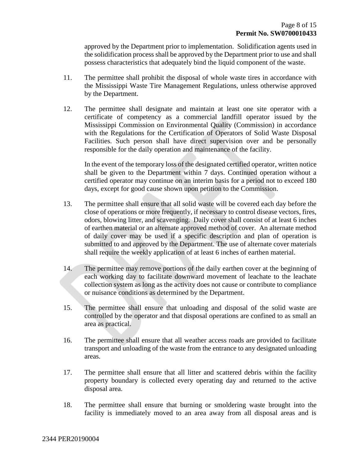approved by the Department prior to implementation. Solidification agents used in the solidification process shall be approved by the Department prior to use and shall possess characteristics that adequately bind the liquid component of the waste.

- 11. The permittee shall prohibit the disposal of whole waste tires in accordance with the Mississippi Waste Tire Management Regulations, unless otherwise approved by the Department.
- 12. The permittee shall designate and maintain at least one site operator with a certificate of competency as a commercial landfill operator issued by the Mississippi Commission on Environmental Quality (Commission) in accordance with the Regulations for the Certification of Operators of Solid Waste Disposal Facilities. Such person shall have direct supervision over and be personally responsible for the daily operation and maintenance of the facility.

In the event of the temporary loss of the designated certified operator, written notice shall be given to the Department within 7 days. Continued operation without a certified operator may continue on an interim basis for a period not to exceed 180 days, except for good cause shown upon petition to the Commission.

- 13. The permittee shall ensure that all solid waste will be covered each day before the close of operations or more frequently, if necessary to control disease vectors, fires, odors, blowing litter, and scavenging. Daily cover shall consist of at least 6 inches of earthen material or an alternate approved method of cover. An alternate method of daily cover may be used if a specific description and plan of operation is submitted to and approved by the Department. The use of alternate cover materials shall require the weekly application of at least 6 inches of earthen material.
- 14. The permittee may remove portions of the daily earthen cover at the beginning of each working day to facilitate downward movement of leachate to the leachate collection system as long as the activity does not cause or contribute to compliance or nuisance conditions as determined by the Department.
- 15. The permittee shall ensure that unloading and disposal of the solid waste are controlled by the operator and that disposal operations are confined to as small an area as practical.
- 16. The permittee shall ensure that all weather access roads are provided to facilitate transport and unloading of the waste from the entrance to any designated unloading areas.
- 17. The permittee shall ensure that all litter and scattered debris within the facility property boundary is collected every operating day and returned to the active disposal area.
- 18. The permittee shall ensure that burning or smoldering waste brought into the facility is immediately moved to an area away from all disposal areas and is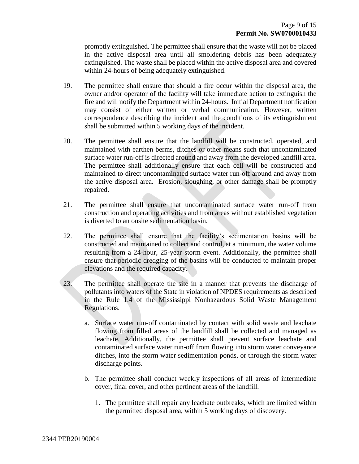promptly extinguished. The permittee shall ensure that the waste will not be placed in the active disposal area until all smoldering debris has been adequately extinguished. The waste shall be placed within the active disposal area and covered within 24-hours of being adequately extinguished.

- 19. The permittee shall ensure that should a fire occur within the disposal area, the owner and/or operator of the facility will take immediate action to extinguish the fire and will notify the Department within 24-hours. Initial Department notification may consist of either written or verbal communication. However, written correspondence describing the incident and the conditions of its extinguishment shall be submitted within 5 working days of the incident.
- 20. The permittee shall ensure that the landfill will be constructed, operated, and maintained with earthen berms, ditches or other means such that uncontaminated surface water run-off is directed around and away from the developed landfill area. The permittee shall additionally ensure that each cell will be constructed and maintained to direct uncontaminated surface water run-off around and away from the active disposal area. Erosion, sloughing, or other damage shall be promptly repaired.
- 21. The permittee shall ensure that uncontaminated surface water run-off from construction and operating activities and from areas without established vegetation is diverted to an onsite sedimentation basin.
- 22. The permittee shall ensure that the facility's sedimentation basins will be constructed and maintained to collect and control, at a minimum, the water volume resulting from a 24-hour, 25-year storm event. Additionally, the permittee shall ensure that periodic dredging of the basins will be conducted to maintain proper elevations and the required capacity.
- 23. The permittee shall operate the site in a manner that prevents the discharge of pollutants into waters of the State in violation of NPDES requirements as described in the Rule 1.4 of the Mississippi Nonhazardous Solid Waste Management Regulations.
	- a. Surface water run-off contaminated by contact with solid waste and leachate flowing from filled areas of the landfill shall be collected and managed as leachate. Additionally, the permittee shall prevent surface leachate and contaminated surface water run-off from flowing into storm water conveyance ditches, into the storm water sedimentation ponds, or through the storm water discharge points.
	- b. The permittee shall conduct weekly inspections of all areas of intermediate cover, final cover, and other pertinent areas of the landfill.
		- 1. The permittee shall repair any leachate outbreaks, which are limited within the permitted disposal area, within 5 working days of discovery.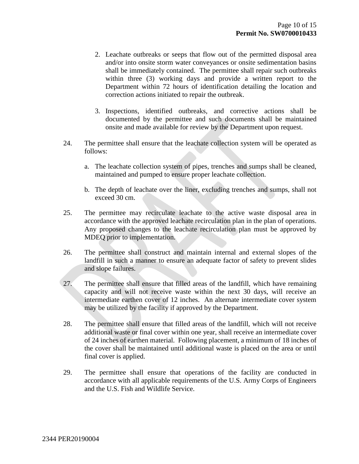- 2. Leachate outbreaks or seeps that flow out of the permitted disposal area and/or into onsite storm water conveyances or onsite sedimentation basins shall be immediately contained. The permittee shall repair such outbreaks within three (3) working days and provide a written report to the Department within 72 hours of identification detailing the location and correction actions initiated to repair the outbreak.
- 3. Inspections, identified outbreaks, and corrective actions shall be documented by the permittee and such documents shall be maintained onsite and made available for review by the Department upon request.
- 24. The permittee shall ensure that the leachate collection system will be operated as follows:
	- a. The leachate collection system of pipes, trenches and sumps shall be cleaned, maintained and pumped to ensure proper leachate collection.
	- b. The depth of leachate over the liner, excluding trenches and sumps, shall not exceed 30 cm.
- 25. The permittee may recirculate leachate to the active waste disposal area in accordance with the approved leachate recirculation plan in the plan of operations. Any proposed changes to the leachate recirculation plan must be approved by MDEQ prior to implementation.
- 26. The permittee shall construct and maintain internal and external slopes of the landfill in such a manner to ensure an adequate factor of safety to prevent slides and slope failures.
- 27. The permittee shall ensure that filled areas of the landfill, which have remaining capacity and will not receive waste within the next 30 days, will receive an intermediate earthen cover of 12 inches. An alternate intermediate cover system may be utilized by the facility if approved by the Department.
- 28. The permittee shall ensure that filled areas of the landfill, which will not receive additional waste or final cover within one year, shall receive an intermediate cover of 24 inches of earthen material. Following placement, a minimum of 18 inches of the cover shall be maintained until additional waste is placed on the area or until final cover is applied.
- 29. The permittee shall ensure that operations of the facility are conducted in accordance with all applicable requirements of the U.S. Army Corps of Engineers and the U.S. Fish and Wildlife Service.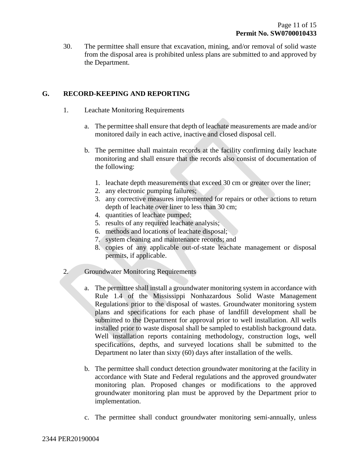30. The permittee shall ensure that excavation, mining, and/or removal of solid waste from the disposal area is prohibited unless plans are submitted to and approved by the Department.

#### **G. RECORD-KEEPING AND REPORTING**

- 1. Leachate Monitoring Requirements
	- a. The permittee shall ensure that depth of leachate measurements are made and/or monitored daily in each active, inactive and closed disposal cell.
	- b. The permittee shall maintain records at the facility confirming daily leachate monitoring and shall ensure that the records also consist of documentation of the following:
		- 1. leachate depth measurements that exceed 30 cm or greater over the liner;
		- 2. any electronic pumping failures;
		- 3. any corrective measures implemented for repairs or other actions to return depth of leachate over liner to less than 30 cm;
		- 4. quantities of leachate pumped;
		- 5. results of any required leachate analysis;
		- 6. methods and locations of leachate disposal;
		- 7. system cleaning and maintenance records; and
		- 8. copies of any applicable out-of-state leachate management or disposal permits, if applicable.
- 2. Groundwater Monitoring Requirements
	- a. The permittee shall install a groundwater monitoring system in accordance with Rule 1.4 of the Mississippi Nonhazardous Solid Waste Management Regulations prior to the disposal of wastes. Groundwater monitoring system plans and specifications for each phase of landfill development shall be submitted to the Department for approval prior to well installation. All wells installed prior to waste disposal shall be sampled to establish background data. Well installation reports containing methodology, construction logs, well specifications, depths, and surveyed locations shall be submitted to the Department no later than sixty (60) days after installation of the wells.
	- b. The permittee shall conduct detection groundwater monitoring at the facility in accordance with State and Federal regulations and the approved groundwater monitoring plan. Proposed changes or modifications to the approved groundwater monitoring plan must be approved by the Department prior to implementation.
	- c. The permittee shall conduct groundwater monitoring semi-annually, unless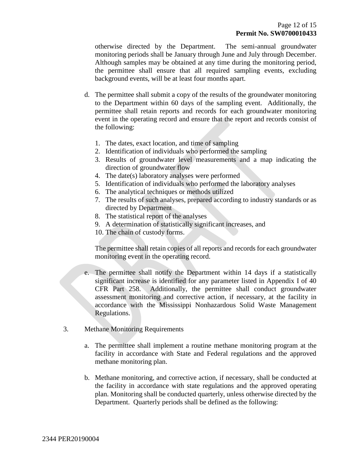otherwise directed by the Department. The semi-annual groundwater monitoring periods shall be January through June and July through December. Although samples may be obtained at any time during the monitoring period, the permittee shall ensure that all required sampling events, excluding background events, will be at least four months apart.

- d. The permittee shall submit a copy of the results of the groundwater monitoring to the Department within 60 days of the sampling event. Additionally, the permittee shall retain reports and records for each groundwater monitoring event in the operating record and ensure that the report and records consist of the following:
	- 1. The dates, exact location, and time of sampling
	- 2. Identification of individuals who performed the sampling
	- 3. Results of groundwater level measurements and a map indicating the direction of groundwater flow
	- 4. The date(s) laboratory analyses were performed
	- 5. Identification of individuals who performed the laboratory analyses
	- 6. The analytical techniques or methods utilized
	- 7. The results of such analyses, prepared according to industry standards or as directed by Department
	- 8. The statistical report of the analyses
	- 9. A determination of statistically significant increases, and
	- 10. The chain of custody forms.

The permittee shall retain copies of all reports and records for each groundwater monitoring event in the operating record.

- e. The permittee shall notify the Department within 14 days if a statistically significant increase is identified for any parameter listed in Appendix I of 40 CFR Part 258. Additionally, the permittee shall conduct groundwater assessment monitoring and corrective action, if necessary, at the facility in accordance with the Mississippi Nonhazardous Solid Waste Management Regulations.
- 3. Methane Monitoring Requirements
	- a. The permittee shall implement a routine methane monitoring program at the facility in accordance with State and Federal regulations and the approved methane monitoring plan.
	- b. Methane monitoring, and corrective action, if necessary, shall be conducted at the facility in accordance with state regulations and the approved operating plan. Monitoring shall be conducted quarterly, unless otherwise directed by the Department. Quarterly periods shall be defined as the following: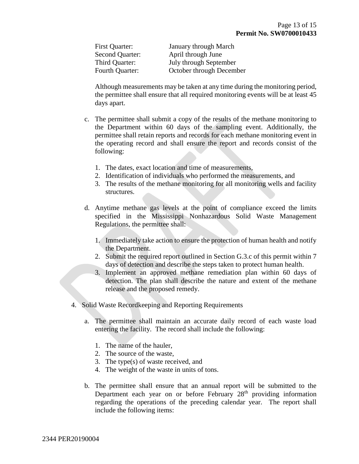| First Quarter:         | <b>January through March</b> |
|------------------------|------------------------------|
| Second Quarter:        | April through June           |
| Third Quarter:         | July through September       |
| <b>Fourth Quarter:</b> | October through December     |

Although measurements may be taken at any time during the monitoring period, the permittee shall ensure that all required monitoring events will be at least 45 days apart.

- c. The permittee shall submit a copy of the results of the methane monitoring to the Department within 60 days of the sampling event. Additionally, the permittee shall retain reports and records for each methane monitoring event in the operating record and shall ensure the report and records consist of the following:
	- 1. The dates, exact location and time of measurements,
	- 2. Identification of individuals who performed the measurements, and
	- 3. The results of the methane monitoring for all monitoring wells and facility structures.
- d. Anytime methane gas levels at the point of compliance exceed the limits specified in the Mississippi Nonhazardous Solid Waste Management Regulations, the permittee shall:
	- 1. Immediately take action to ensure the protection of human health and notify the Department.
	- 2. Submit the required report outlined in Section G.3.c of this permit within 7 days of detection and describe the steps taken to protect human health.
	- 3. Implement an approved methane remediation plan within 60 days of detection. The plan shall describe the nature and extent of the methane release and the proposed remedy.
- 4. Solid Waste Recordkeeping and Reporting Requirements
	- a. The permittee shall maintain an accurate daily record of each waste load entering the facility. The record shall include the following:
		- 1. The name of the hauler,
		- 2. The source of the waste,
		- 3. The type(s) of waste received, and
		- 4. The weight of the waste in units of tons.
	- b. The permittee shall ensure that an annual report will be submitted to the Department each year on or before February 28<sup>th</sup> providing information regarding the operations of the preceding calendar year. The report shall include the following items: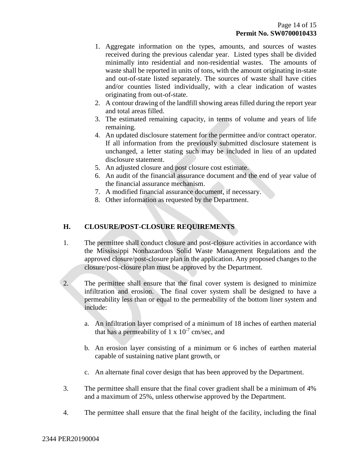- 1. Aggregate information on the types, amounts, and sources of wastes received during the previous calendar year. Listed types shall be divided minimally into residential and non-residential wastes. The amounts of waste shall be reported in units of tons, with the amount originating in-state and out-of-state listed separately. The sources of waste shall have cities and/or counties listed individually, with a clear indication of wastes originating from out-of-state.
- 2. A contour drawing of the landfill showing areas filled during the report year and total areas filled.
- 3. The estimated remaining capacity, in terms of volume and years of life remaining.
- 4. An updated disclosure statement for the permittee and/or contract operator. If all information from the previously submitted disclosure statement is unchanged, a letter stating such may be included in lieu of an updated disclosure statement.
- 5. An adjusted closure and post closure cost estimate.
- 6. An audit of the financial assurance document and the end of year value of the financial assurance mechanism.
- 7. A modified financial assurance document, if necessary.
- 8. Other information as requested by the Department.

#### **H. CLOSURE/POST-CLOSURE REQUIREMENTS**

- 1. The permittee shall conduct closure and post-closure activities in accordance with the Mississippi Nonhazardous Solid Waste Management Regulations and the approved closure/post-closure plan in the application. Any proposed changes to the closure/post-closure plan must be approved by the Department.
- 2. The permittee shall ensure that the final cover system is designed to minimize infiltration and erosion. The final cover system shall be designed to have a permeability less than or equal to the permeability of the bottom liner system and include:
	- a. An infiltration layer comprised of a minimum of 18 inches of earthen material that has a permeability of  $1 \times 10^{-7}$  cm/sec, and
	- b. An erosion layer consisting of a minimum or 6 inches of earthen material capable of sustaining native plant growth, or
	- c. An alternate final cover design that has been approved by the Department.
- 3. The permittee shall ensure that the final cover gradient shall be a minimum of 4% and a maximum of 25%, unless otherwise approved by the Department.
- 4. The permittee shall ensure that the final height of the facility, including the final